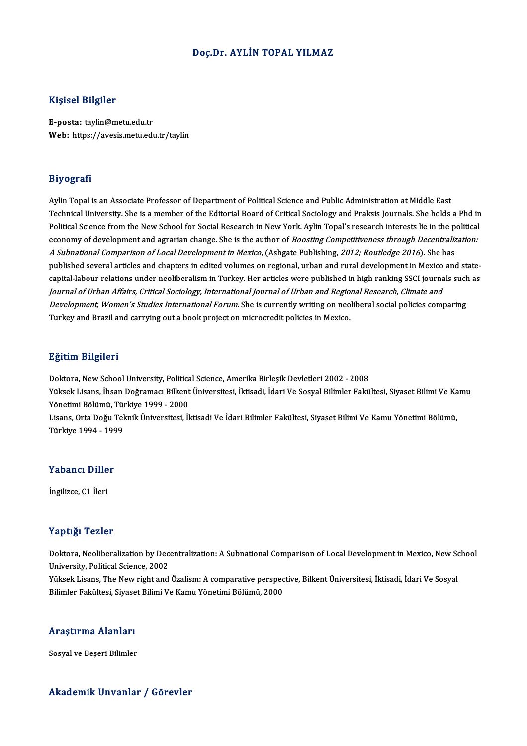### Doç.Dr. AYLİN TOPAL YILMAZ

### Kişisel Bilgiler

E-posta: taylin@metu.edu.tr Web: https://avesis.metu.edu.tr/taylin

### Biyografi

Aylin Topal is an Associate Professor of Department of Political Science and Public Administration at Middle East Technical University. She is a member of the Editorial Board of Critical Sociology and Praksis Journals. She holds a Phd in Aylin Topal is an Associate Professor of Department of Political Science and Public Administration at Middle East<br>Technical University. She is a member of the Editorial Board of Critical Sociology and Praksis Journals. She Technical University. She is a member of the Editorial Board of Critical Sociology and Praksis Journals. She holds a Phd in<br>Political Science from the New School for Social Research in New York. Aylin Topal's research inte Political Science from the New School for Social Research in New York. Aylin Topal's research interests lie in the p<br>economy of development and agrarian change. She is the author of *Boosting Competitiveness through Decent* economy of development and agrarian change. She is the author of *Boosting Competitiveness through Decentralization:*<br>A *Subnational Comparison of Local Development in Mexico*, (Ashgate Publishing, 2012; Routledge 2016). S published several articles and chapters in edited volumes on regional, urban and rural development in Mexico and state-Journal of Urban Affairs, Critical Sociology, International Journal of Urban and Regional Research, Climate and capital-labour relations under neoliberalism in Turkey. Her articles were published in high ranking SSCI journals such<br>Jo*urnal of Urban Affairs, Critical Sociology, International Journal of Urban and Regional Research, Cl Journal of Urban Affairs, Critical Sociology, International Journal of Urban and Regio.<br>Development, Women's Studies International Forum*. She is currently writing on neo<br>Turkey and Brazil and carrying out a book project Turkey and Brazil and carrying out a book project on microcredit policies in Mexico.<br>Eğitim Bilgileri

<mark>Eğitim Bilgileri</mark><br>Doktora, New School University, Political Science, Amerika Birleşik Devletleri 2002 - 2008<br>Yüksek Lisans, İbsan Doğramacı Bilkont Üniversitesi, İktisadi, İdari Ve Sosyal Bilimler Fakü Zytem. Zagaola<br>Doktora, New School University, Political Science, Amerika Birleşik Devletleri 2002 - 2008<br>Yüksek Lisans, İhsan Doğramacı Bilkent Üniversitesi, İktisadi, İdari Ve Sosyal Bilimler Fakültesi, Siyaset Bilimi Ve Doktora, New School University, Politica<br>Yüksek Lisans, İhsan Doğramacı Bilkent<br>Yönetimi Bölümü, Türkiye 1999 - 2000<br>Lisans, Orta Doğu Telmik Üniversitesi, İl Yüksek Lisans, İhsan Doğramacı Bilkent Üniversitesi, İktisadi, İdari Ve Sosyal Bilimler Fakültesi, Siyaset Bilimi Ve Ka<br>Yönetimi Bölümü, Türkiye 1999 - 2000<br>Lisans, Orta Doğu Teknik Üniversitesi, İktisadi Ve İdari Bilimler Yönetimi Bölümü, Türkiye 1999 - 2000<br>Lisans, Orta Doğu Teknik Üniversitesi, İktisadi Ve İdari Bilimler Fakültesi, Siyaset Bilimi Ve Kamu Yönetimi Bölümü,<br>Türkiye 1994 - 1999

# rurkiye 1994 - 199<br>Yabancı Diller Y<mark>abancı Dille</mark><br>İngilizce, C1 İleri

# İngilizce, C1 İleri<br>Yaptığı Tezler

Yaptığı Tezler<br>Doktora, Neoliberalization by Decentralization: A Subnational Comparison of Local Development in Mexico, New School<br>University, Political Science, 2002 Tup ugh Tumor<br>Doktora, Neoliberalization by Dec<br>University, Political Science, 2002<br>Vikeok Lisans, The New right and Doktora, Neoliberalization by Decentralization: A Subnational Comparison of Local Development in Mexico, New So<br>University, Political Science, 2002<br>Yüksek Lisans, The New right and Özalism: A comparative perspective, Bilke

University, Political Science, 2002<br>Yüksek Lisans, The New right and Özalism: A comparative perspective, Bilkent Üniversitesi, İktisadi, İdari Ve Sosyal<br>Bilimler Fakültesi, Siyaset Bilimi Ve Kamu Yönetimi Bölümü, 2000

### Araştırma Alanları

Sosyal ve Beşeri Bilimler

### Akademik Unvanlar / Görevler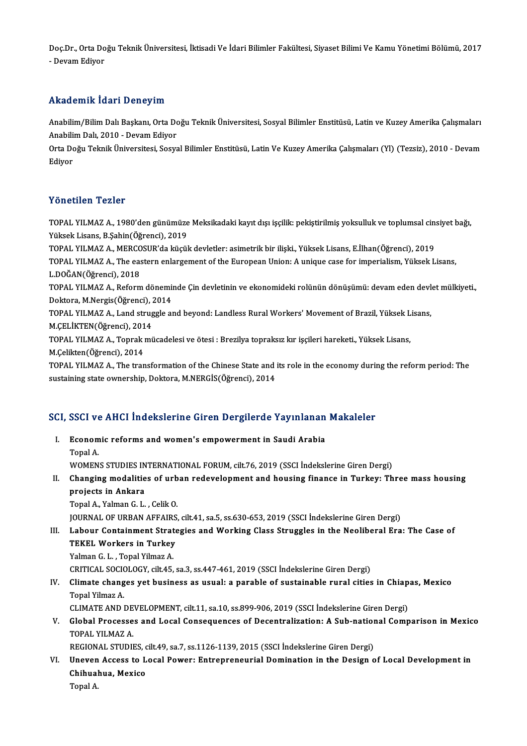Doç.Dr., Orta Doğu Teknik Üniversitesi, İktisadi Ve İdari Bilimler Fakültesi, Siyaset Bilimi Ve Kamu Yönetimi Bölümü, 2017<br>Davam Ediyon Doç.Dr., Orta Do<br>- Devam Ediyor

# - Devam Ediyor<br>Akademik İdari Deneyim

Akademik İdari Deneyim<br>Anabilim/Bilim Dalı Başkanı, Orta Doğu Teknik Üniversitesi, Sosyal Bilimler Enstitüsü, Latin ve Kuzey Amerika Çalışmaları<br>Anabilim Dalı 2010, Davam Ediver Anabilim/Bilim Dalı Başkanı, Orta Do<br>Anabilim/Bilim Dalı Başkanı, Orta Do<br>Orta Doğu Telmik Üniversitesi, Sesve Anabilim/Bilim Dalı Başkanı, Orta Doğu Teknik Üniversitesi, Sosyal Bilimler Enstitüsü, Latin ve Kuzey Amerika Çalışmaları<br>Anabilim Dalı, 2010 - Devam Ediyor<br>Orta Doğu Teknik Üniversitesi, Sosyal Bilimler Enstitüsü, Latin V

Anabilim Dalı, 2010 - Devam Ediyor<br>Orta Doğu Teknik Üniversitesi, Sosyal Bilimler Enstitüsü, Latin Ve Kuzey Amerika Çalışmaları (Yl) (Tezsiz), 2010 - Devam<br>Edivor

## Yönetilen Tezler

Yönetilen Tezler<br>TOPAL YILMAZ A., 1980'den günümüze Meksikadaki kayıt dışı işçilik: pekiştirilmiş yoksulluk ve toplumsal cinsiyet bağı,<br>Yükask Lisana, B.Sabin(Öğrengi), 2019 Yüksek Lisans, B.Şahin(Öğrenci), 2019<br>Yüksek Lisans, B.Şahin(Öğrenci), 2019<br>TOBAL YU MAZ A. MERCOSUP'de kisril TOPAL YILMAZ A., 1980'den günümüze Meksikadaki kayıt dışı işçilik: pekiştirilmiş yoksulluk ve toplumsal cin:<br>Yüksek Lisans, B.Şahin(Öğrenci), 2019<br>TOPAL YILMAZ A., MERCOSUR'da küçük devletler: asimetrik bir ilişki., Yüksek

TOPAL YILMAZ A., MERCOSUR'da küçük devletler: asimetrik bir ilişki., Yüksek Lisans, E.İlhan(Öğrenci), 2019

Yüksek Lisans, B.Şahin(Öğrenci), 2019<br>TOPAL YILMAZ A., MERCOSUR'da küçük devletler: asimetrik bir ilişki., Yüksek Lisans, E.İlhan(Öğrenci), 2019<br>TOPAL YILMAZ A., The eastern enlargement of the European Union: A unique case TOPAL YILMAZ A., The eastern enlargement of the European Union: A unique case for imperialism, Yüksek Lisans,<br>L.DOĞAN(Öğrenci), 2018<br>TOPAL YILMAZ A., Reform döneminde Çin devletinin ve ekonomideki rolünün dönüşümü: devam e

L.DOĞAN(Öğrenci), 2018<br>TOPAL YILMAZ A., Reform dönemi<br>Doktora, M.Nergis(Öğrenci), 2014<br>TOBAL YU MAZ A. Land struggla al TOPAL YILMAZ A., Reform döneminde Çin devletinin ve ekonomideki rolünün dönüşümü: devam eden devl<br>Doktora, M.Nergis(Öğrenci), 2014<br>TOPAL YILMAZ A., Land struggle and beyond: Landless Rural Workers' Movement of Brazil, Yüks

Doktora, M.Nergis(Öğrenci), 2<br>TOPAL YILMAZ A., Land strug<br>M.ÇELİKTEN(Öğrenci), 2014<br>TOPAL YILMAZ A. Toprek mü TOPAL YILMAZ A., Land struggle and beyond: Landless Rural Workers' Movement of Brazil, Yüksek L<br>M.ÇELİKTEN(Öğrenci), 2014<br>TOPAL YILMAZ A., Toprak mücadelesi ve ötesi : Brezilya topraksız kır işçileri hareketi., Yüksek Lisa

M.ÇELİKTEN(Öğrenci), 2014<br>TOPAL YILMAZ A., Toprak mücadelesi ve ötesi : Brezilya topraksız kır işçileri hareketi., Yüksek Lisans,<br>M.Çelikten(Öğrenci), 2014

TOPAL YILMAZ A., The transformation of the Chinese State and its role in the economy during the reform period: The sustaining state ownership, Doktora, M.NERGİS(Öğrenci), 2014

# sustaining state ownersnip, Doktora, M.NERGIS(Ogrenci), 2014<br>SCI, SSCI ve AHCI İndekslerine Giren Dergilerde Yayınlanan Makaleler

CI, SSCI ve AHCI İndekslerine Giren Dergilerde Yayınlanan<br>I. Economic reforms and women's empowerment in Saudi Arabia<br> Topel A I. Economic reforms and women's empowerment in Saudi Arabia<br>Topal A. WOMENS STUDIES INTERNATIONAL FORUM, cilt.76,2019 (SSCI İndekslerineGirenDergi) Topal A.<br>WOMENS STUDIES INTERNATIONAL FORUM, cilt.76, 2019 (SSCI İndekslerine Giren Dergi)<br>II. Changing modalities of urban redevelopment and housing finance in Turkey: Three mass housing<br>projects in Ankare WOMENS STUDIES IN<br>Changing modalitie<br>projects in Ankara<br>Topal A. Valman G. L Changing modalities of urb<br>projects in Ankara<br>Topal A., Yalman G. L. , Celik O.<br>JOUPMAL OF UPPAN AFFAIRS projects in Ankara<br>Topal A., Yalman G. L. , Celik O.<br>JOURNAL OF URBAN AFFAIRS, cilt.41, sa.5, ss.630-653, 2019 (SSCI İndekslerine Giren Dergi)<br>Labour Containment Strategies and Working Class Struggles in the Neoliberal Era Topal A., Yalman G. L. , Celik O.<br>JOURNAL OF URBAN AFFAIRS, cilt.41, sa.5, ss.630-653, 2019 (SSCI İndekslerine Giren Dergi)<br>III. Labour Containment Strategies and Working Class Struggles in the Neoliberal Era: The Case **JOURNAL OF URBAN AFFAIRS<br>Labour Containment Strate<br>TEKEL Workers in Turkey**<br>Valman C. L. Tonal Vilman A Labour Containment Strat<br>TEKEL Workers in Turkey<br>Yalman G.L., Topal Yilmaz A.<br>CPITICAL SOCIOLOCY silt 45 TEKEL Workers in Turkey<br>Yalman G. L. , Topal Yilmaz A.<br>CRITICAL SOCIOLOGY, cilt.45, sa.3, ss.447-461, 2019 (SSCI İndekslerine Giren Dergi)<br>Climate changes vet business as vaual: a navable of sustainable rural sities Yalman G. L. , Topal Yilmaz A.<br>CRITICAL SOCIOLOGY, cilt.45, sa.3, ss.447-461, 2019 (SSCI İndekslerine Giren Dergi)<br>IV. Climate changes yet business as usual: a parable of sustainable rural cities in Chiapas, Mexico<br>Top CRITICAL SOCIO<br>Climate chang<br>Topal Yilmaz A.<br>CLIMATE AND L Climate changes yet business as usual: a parable of sustainable rural cities in Chiap<br>Topal Yilmaz A.<br>CLIMATE AND DEVELOPMENT, cilt.11, sa.10, ss.899-906, 2019 (SSCI İndekslerine Giren Dergi)<br>Clabel Processes and Lesel Con Topal Yilmaz A.<br>CLIMATE AND DEVELOPMENT, cilt.11, sa.10, ss.899-906, 2019 (SSCI Indekslerine Giren Dergi)<br>V. Global Processes and Local Consequences of Decentralization: A Sub-national Comparison in Mexico TOPAL YILMAZ A Global Processes and Local Consequences of Decentralization: A Sub-nation<br>TOPAL YILMAZ A.<br>REGIONAL STUDIES, cilt.49, sa.7, ss.1126-1139, 2015 (SSCI İndekslerine Giren Dergi)<br>Unavan Assasa ta Losal Bayyay, Entreprenavurial TOPAL YILMAZ A.<br>REGIONAL STUDIES, cilt.49, sa.7, ss.1126-1139, 2015 (SSCI İndekslerine Giren Dergi)<br>VI. Uneven Access to Local Power: Entrepreneurial Domination in the Design of Local Development in<br>Chihuahua Mariae REGIONAL STUDIES, c<br>Uneven Access to L<br>Chihuahua, Mexico<br>Topal A Uneven<br>Chihual<br>Topal A.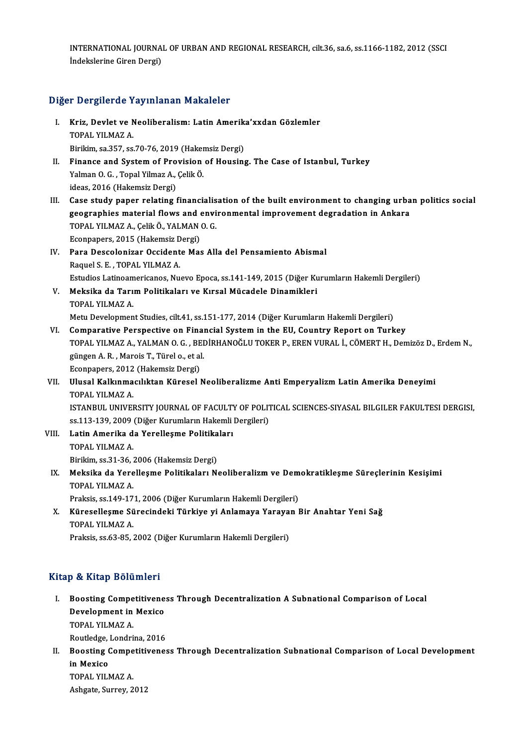INTERNATIONAL JOURNAL OF URBAN AND REGIONAL RESEARCH, cilt.36, sa.6, ss.1166-1182, 2012 (SSCI<br>Indekslerine Circo Dergi) INTERNATIONAL JOURNA<br>İndekslerine Giren Dergi)

# İndekslerine Giren Dergi)<br>Diğer Dergilerde Yayınlanan Makaleler

- iğer Dergilerde Yayınlanan Makaleler<br>I. Kriz, Devlet ve Neoliberalism: Latin Amerika'xxdan Gözlemler<br>TOPAL YU MAZ A r Bergherde 1<br>Kriz, Devlet ve N<br>TOPAL YILMAZ A. TOPAL YILMAZ A.<br>Birikim, sa.357, ss.70-76, 2019 (Hakemsiz Dergi)
- TOPAL YILMAZ A.<br>Birikim, sa.357, ss.70-76, 2019 (Hakemsiz Dergi)<br>II. Finance and System of Provision of Housing. The Case of Istanbul, Turkey<br>Valman O. G. Tapel Vilman A. Colik Ö. Birikim, sa.357, ss.70-76, 2019 (Haker<br>Finance and System of Provision<br>Yalman O. G. , Topal Yilmaz A., Çelik Ö. Finance and System of Pro<br>Yalman O. G. , Topal Yilmaz A.,<br>ideas, 2016 (Hakemsiz Dergi)<br>Case study paper relating t I Valman O. G. , Topal Yilmaz A., Çelik Ö.<br>II. Case study paper relating financialisation of the built environment to changing urban politics social<br>The Case study paper relating financialisation of the built environment d
- ideas, 2016 (Hakemsiz Dergi)<br>Case study paper relating financialisation of the built environment to changing urba<br>geographies material flows and environmental improvement degradation in Ankara<br>TORAL VU MAZ A. ColikÖ, VALMA Case study paper relating financialis<br>geographies material flows and envi<br>TOPAL YILMAZ A., Çelik Ö., YALMAN O. G.<br>Feonnanors 2015 (Hakamsiz Dargi) geographies material flows and environmental improvement degradation in Ankara<br>TOPAL YILMAZ A., Çelik Ö., YALMAN O. G. Econpapers, 2015 (Hakemsiz Dergi)
- IV. Para Descolonizar Occidente Mas Alla del Pensamiento Abismal<br>Raquel S. E., TOPAL YILMAZ A. Para Descolonizar Occidente Mas Alla del Pensamiento Abismal<br>Raquel S. E. , TOPAL YILMAZ A.<br>Estudios Latinoamericanos, Nuevo Epoca, ss.141-149, 2015 (Diğer Kurumların Hakemli Dergileri)<br>Makejka da Tanım Balitikaları ve Kır
- V. Meksika da Tarım Politikaları ve Kırsal Mücadele Dinamikleri<br>TOPAL YILMAZ A. Estudios Latinoam<br><mark>Meksika da Tarı</mark><br>TOPAL YILMAZ A.<br>Metu Develenmen Metu Development Studies, cilt.41, ss.151-177, 2014 (Diğer Kurumların Hakemli Dergileri)
- TOPAL YILMAZ A.<br>Metu Development Studies, cilt.41, ss.151-177, 2014 (Diğer Kurumların Hakemli Dergileri)<br>VI. Comparative Perspective on Financial System in the EU, Country Report on Turkey<br>TOPAL VILMAZ A. VALMAN O.G. BEDİR Metu Development Studies, cilt.41, ss.151-177, 2014 (Diğer Kurumların Hakemli Dergileri)<br>Comparative Perspective on Financial System in the EU, Country Report on Turkey<br>TOPAL YILMAZ A., YALMAN O. G. , BEDİRHANOĞLU TOKER P. Comparative Perspective on Final<br>TOPAL YILMAZ A., YALMAN O. G. , BEI<br>güngen A. R. , Marois T., Türel o., et al.<br>Econnaners 2012 (Hakamsir Dergi) TOPAL YILMAZ A., YALMAN O. G. , BE<br>güngen A. R. , Marois T., Türel o., et al<br>Econpapers, 2012 (Hakemsiz Dergi)<br>Ulusel Kalkınmasılıktan Künasel I güngen A. R. , Marois T., Türel o., et al.<br>Econpapers, 2012 (Hakemsiz Dergi)<br>VII. Ulusal Kalkınmacılıktan Küresel Neoliberalizme Anti Emperyalizm Latin Amerika Deneyimi<br>TOPAL YU M47 A

## Econpapers, 2012<br>Ulusal Kalkınma<br>TOPAL YILMAZ A.<br>ISTANPUL UNIVEL Ulusal Kalkınmacılıktan Küresel Neoliberalizme Anti Emperyalizm Latin Amerika Deneyimi<br>TOPAL YILMAZ A.<br>ISTANBUL UNIVERSITY JOURNAL OF FACULTY OF POLITICAL SCIENCES-SIYASAL BILGILER FAKULTESI DERGISI,<br>22.113.129.2009 (Diğer TOPAL YILMAZ A.<br>ISTANBUL UNIVERSITY JOURNAL OF FACULTY OF POLIT<br>ss.113-139, 2009 (Diğer Kurumların Hakemli Dergileri)<br>Latin Amerika de Yorollosme Bolitikalery ISTANBUL UNIVERSITY JOURNAL OF FACULTY<br>ss.113-139, 2009 (Diğer Kurumların Hakemli<br>VIII. Latin Amerika da Yerelleşme Politikaları<br>TOBAL VILMAZA

- ss.113-139, 2009<br>Latin Amerika d<br>TOPAL YILMAZ A.<br>Birikim as <sup>21, 26</sup>. Latin Amerika da Yerelleşme Politika<br>TOPAL YILMAZ A.<br>Birikim, ss.31-36, 2006 (Hakemsiz Dergi)<br>Meksika da Yarelleame Bolitikaları M.
- TOPAL YILMAZ A.<br>Birikim, ss.31-36, 2006 (Hakemsiz Dergi)<br>IX. Meksika da Yerelleşme Politikaları Neoliberalizm ve Demokratikleşme Süreçlerinin Kesişimi<br>TOPAL YU MAZ A Birikim, ss.31-36, ;<br>Meksika da Yere<br>TOPAL YILMAZ A.<br>Proksis es.140,17 Meksika da Yerelleşme Politikaları Neoliberalizm ve Dem<br>TOPAL YILMAZ A.<br>Praksis, ss.149-171, 2006 (Diğer Kurumların Hakemli Dergileri)<br>Kürosollesme Sürosindeki Türkiye vi Anlamaya Yerayan I

Praksis, ss.149-171, 2006 (Diğer Kurumların Hakemli Dergileri)

TOPAL YILMAZ A.<br>Praksis, ss.149-171, 2006 (Diğer Kurumların Hakemli Dergileri)<br>X. Küreselleşme Sürecindeki Türkiye yi Anlamaya Yarayan Bir Anahtar Yeni Sağ<br>TOPAL YILMAZ A.

Praksis, ss.63-85, 2002 (Diğer Kurumların Hakemli Dergileri)

## Kitap & Kitap Bölümleri

I. Boosting Competitiveness Through Decentralization A Subnational Comparison of Local Development in Mexico<br>Development in Mexico<br>TOPAL VILMAZ A Boosting Compe<br>Development in<br>TOPAL YILMAZ A.<br>Poutledge Londri Development in Mexico<br>TOPAL YILMAZ A.<br>Routledge, Londrina, 2016<br>Boosting Competitivenes

TOPAL YILMAZ A.<br>Routledge, Londrina, 2016<br>II. Boosting Competitiveness Through Decentralization Subnational Comparison of Local Development<br>in Marise Routledge,<br>Boosting (<br>in Mexico<br>TOPAL VIL Boosting Compe<br>in Mexico<br>TOPAL YILMAZ A.<br>Ashsata Surray 2 in Mexico<br>TOPAL YILMAZ A.<br>Ashgate, Surrey, 2012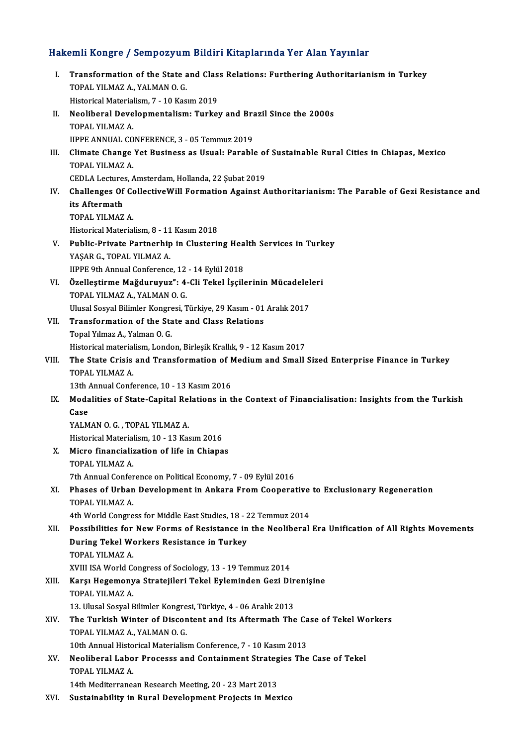# Hakemli Kongre / Sempozyum Bildiri Kitaplarında Yer Alan Yayınlar<br>Hakemli Kongre / Sempozyum Bildiri Kitaplarında Yer Alan Yayınlar

| Hakemli Kongre / Sempozyum Bildiri Kitaplarında Yer Alan Yayınlar |                                                                                                                                                   |
|-------------------------------------------------------------------|---------------------------------------------------------------------------------------------------------------------------------------------------|
| L                                                                 | Transformation of the State and Class Relations: Furthering Authoritarianism in Turkey<br>TOPAL YILMAZ A, YALMAN O. G.                            |
|                                                                   | Historical Materialism, 7 - 10 Kasım 2019                                                                                                         |
| П.                                                                | Neoliberal Developmentalism: Turkey and Brazil Since the 2000s                                                                                    |
|                                                                   | TOPAL YILMAZ A                                                                                                                                    |
|                                                                   | IIPPE ANNUAL CONFERENCE, 3 - 05 Temmuz 2019                                                                                                       |
| III.                                                              | Climate Change Yet Business as Usual: Parable of Sustainable Rural Cities in Chiapas, Mexico                                                      |
|                                                                   | TOPAL YILMAZ A.                                                                                                                                   |
|                                                                   | CEDLA Lectures, Amsterdam, Hollanda, 22 Şubat 2019                                                                                                |
| IV.                                                               | Challenges Of CollectiveWill Formation Against Authoritarianism: The Parable of Gezi Resistance and                                               |
|                                                                   | its Aftermath                                                                                                                                     |
|                                                                   | TOPAL YILMAZ A.                                                                                                                                   |
|                                                                   | Historical Materialism, 8 - 11 Kasım 2018                                                                                                         |
| V.                                                                | Public-Private Partnerhip in Clustering Health Services in Turkey                                                                                 |
|                                                                   | YAŞAR G., TOPAL YILMAZ A.                                                                                                                         |
|                                                                   | IIPPE 9th Annual Conference, 12 - 14 Eylül 2018                                                                                                   |
| VI.                                                               | Özelleştirme Mağduruyuz": 4-Cli Tekel İşçilerinin Mücadeleleri                                                                                    |
|                                                                   | TOPAL YILMAZ A., YALMAN O. G.                                                                                                                     |
|                                                                   | Ulusal Sosyal Bilimler Kongresi, Türkiye, 29 Kasım - 01 Aralık 2017                                                                               |
| VII.                                                              | Transformation of the State and Class Relations                                                                                                   |
|                                                                   | Topal Yılmaz A., Yalman O. G.                                                                                                                     |
|                                                                   | Historical materialism, London, Birleşik Krallık, 9 - 12 Kasım 2017                                                                               |
| VIII.                                                             | The State Crisis and Transformation of Medium and Small Sized Enterprise Finance in Turkey                                                        |
|                                                                   | TOPAL YILMAZ A                                                                                                                                    |
|                                                                   | 13th Annual Conference, 10 - 13 Kasım 2016<br>Modalities of State-Capital Relations in the Context of Financialisation: Insights from the Turkish |
| IX.                                                               | Case                                                                                                                                              |
|                                                                   | YALMAN O. G., TOPAL YILMAZ A.                                                                                                                     |
|                                                                   | Historical Materialism, 10 - 13 Kasım 2016                                                                                                        |
| Х.                                                                | Micro financialization of life in Chiapas                                                                                                         |
|                                                                   | TOPAL YILMAZ A.                                                                                                                                   |
|                                                                   | 7th Annual Conference on Political Economy, 7 - 09 Eylül 2016                                                                                     |
| XI.                                                               | Phases of Urban Development in Ankara From Cooperative to Exclusionary Regeneration                                                               |
|                                                                   | TOPAL YILMAZ A                                                                                                                                    |
|                                                                   | 4th World Congress for Middle East Studies, 18 - 22 Temmuz 2014                                                                                   |
| XII.                                                              | Possibilities for New Forms of Resistance in the Neoliberal Era Unification of All Rights Movements                                               |
|                                                                   | During Tekel Workers Resistance in Turkey                                                                                                         |
|                                                                   | TOPAL YILMAZ A                                                                                                                                    |
|                                                                   | XVIII ISA World Congress of Sociology, 13 - 19 Temmuz 2014                                                                                        |
| XIII.                                                             | Karşı Hegemonya Stratejileri Tekel Eyleminden Gezi Direnişine                                                                                     |
|                                                                   | TOPAL YILMAZ A.                                                                                                                                   |
|                                                                   | 13. Ulusal Sosyal Bilimler Kongresi, Türkiye, 4 - 06 Aralık 2013                                                                                  |
| XIV.                                                              | The Turkish Winter of Discontent and Its Aftermath The Case of Tekel Workers                                                                      |
|                                                                   | TOPAL YILMAZ A., YALMAN O. G.                                                                                                                     |
|                                                                   | 10th Annual Historical Materialism Conference, 7 - 10 Kasım 2013                                                                                  |
| XV.                                                               | Neoliberal Labor Processs and Containment Strategies The Case of Tekel                                                                            |
|                                                                   | TOPAL YILMAZ A                                                                                                                                    |
|                                                                   | 14th Mediterranean Research Meeting, 20 - 23 Mart 2013                                                                                            |
| XVI.                                                              | Sustainability in Rural Development Projects in Mexico                                                                                            |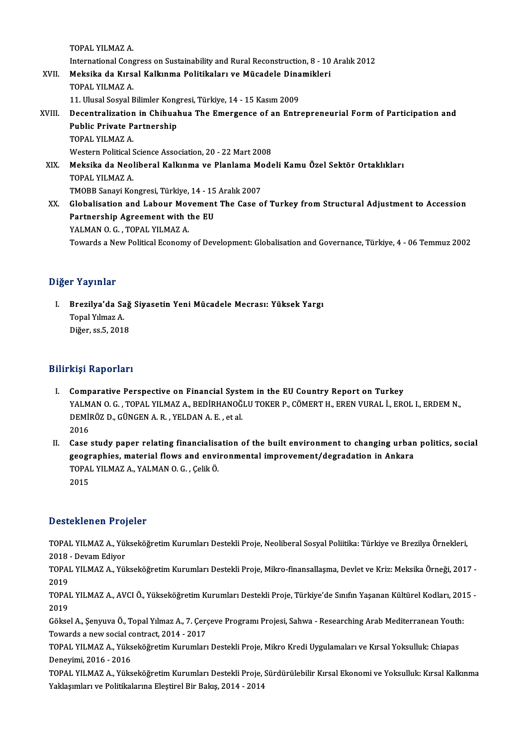TOPAL YILMAZ A.

TOPAL YILMAZ A.<br>International Congress on Sustainability and Rural Reconstruction, 8 - 10 Aralık 2012<br>Maksika de Kuraal Kallunma Politikaları ve Müsadala Dinamiklari

- XVII. Meksika da Kırsal Kalkınma Politikaları ve Mücadele Dinamikleri<br>TOPAL YILMAZ A. International Cong<br>Meksika da Kırs<br>TOPAL YILMAZ A.<br>11 Ulusal Saaval E Meksika da Kırsal Kalkınma Politikaları ve Mücadele Dina<br>TOPAL YILMAZ A.<br>11. Ulusal Sosyal Bilimler Kongresi, Türkiye, 14 - 15 Kasım 2009<br>Desentralization in Chihuahua The Emergence of an Entr
	- -

## TOPAL YILMAZ A.<br>11. Ulusal Sosyal Bilimler Kongresi, Türkiye, 14 - 15 Kasım 2009<br>XVIII. Decentralization in Chihuahua The Emergence of an Entrepreneurial Form of Participation and<br>Public Private Partnership 11. Ulusal Sosyal Bilimler Kong<br>Decentralization in Chihual<br>Public Private Partnership<br>TOBAL VILMAZA Decentralization<br>Public Private P<br>TOPAL YILMAZ A.<br>Western Political S Public Private Partnership<br>TOPAL YILMAZ A.<br>Western Political Science Association, 20 - 22 Mart 2008<br>Meksika da Neoliberal Kalkunna ve Planlama Mode TOPAL YILMAZ A.<br>Western Political Science Association, 20 - 22 Mart 2008<br>XIX. Meksika da Neoliberal Kalkınma ve Planlama Modeli Kamu Özel Sektör Ortaklıkları<br>TOPAL YILMAZ A Western Political <mark>:</mark><br>**Meksika da Neo**l<br>TOPAL YILMAZ A.<br>TMOPP Sanavi Ko Meksika da Neoliberal Kalkınma ve Planlama Mo<br>TOPAL YILMAZ A.<br>TMOBB Sanayi Kongresi, Türkiye, 14 - 15 Aralık 2007<br>Clabalisatian and Labour Moyemant The Case e

XX. Globalisation and Labour Movement The Case of Turkey fromStructural Adjustment to Accession TMOBB Sanayi Kongresi, Türkiye, 14 - 15<br>Globalisation and Labour Movement<br>Partnership Agreement with the EU<br>YALMAN O.G. TOPAL VUMAZA Globalisation and Labour Mov<br>Partnership Agreement with t<br>YALMAN O. G. , TOPAL YILMAZ A.<br>Tourade e Now Political Economy YALMAN O. G. , TOPAL YILMAZ A.<br>Towards a New Political Economy of Development: Globalisation and Governance, Türkiye, 4 - 06 Temmuz 2002

## Diğer Yayınlar

iğer Yayınlar<br>I. Brezilya'da Sağ Siyasetin Yeni Mücadele Mecrası: Yüksek Yargı<br>Tanal Yılmaz A Topal<br>Brezilya'da Sa<br>Topal Yılmaz A.<br>Diğer sa 5, 2011 Brezil<mark>ya'da Sağ</mark><br>Topal Yılmaz A.<br>Diğer, ss.5, 2018 Diğer, ss.5, 2018<br>Bilirkişi Raporları

- I. Comparative Perspective on Financial Systemin the EU Country Report on Turkey III91 Nuporiari<br>Comparative Perspective on Financial System in the EU Country Report on Turkey<br>YALMAN O. G. , TOPAL YILMAZ A., BEDİRHANOĞLU TOKER P., CÖMERT H., EREN VURAL İ., EROL I., ERDEM N.,<br>REMİRÖZ B. GÜNGEN A. B., YE Comparative Perspective on Financial Syst<br>YALMAN O.G., TOPAL YILMAZ A., BEDİRHANOĞ<br>DEMİRÖZ D., GÜNGEN A.R., YELDAN A.E., et al.<br>2016 YALM<br>DEMII<br>2016<br>Casa DEMİRÖZ D., GÜNGEN A. R., YELDAN A. E., et al.<br>2016<br>II. Case study paper relating financialisation of the built environment to changing urban politics, social<br>2003 recognabies, material flows and environmental improvement
- 2016<br>Case study paper relating financialisation of the built environment to changing urban<br>geographies, material flows and environmental improvement/degradation in Ankara<br>TORAL VUMAZ A, VALMAN O.G., CelikÖ Case study paper relating financialisa<br>geographies, material flows and envi<br>TOPAL YILMAZ A., YALMAN 0. G. , Çelik Ö.<br>2015 geogr<br>TOPAI<br>2015

# Desteklenen Projeler

Desteklenen Projeler<br>TOPAL YILMAZ A., Yükseköğretim Kurumları Destekli Proje, Neoliberal Sosyal Poliitika: Türkiye ve Brezilya Örnekleri,<br>2018. Devam Ediver 2018 -DevamEdiyor TOPAL YILMAZ A., Yükseköğretim Kurumları Destekli Proje, Neoliberal Sosyal Poliitika: Türkiye ve Brezilya Örnekleri,<br>2018 - Devam Ediyor<br>TOPAL YILMAZ A., Yükseköğretim Kurumları Destekli Proje, Mikro-finansallaşma, Devlet

2018<br>TOPAI<br>2019<br>TOPAI TOPAL YILMAZ A., Yükseköğretim Kurumları Destekli Proje, Mikro-finansallaşma, Devlet ve Kriz: Meksika Örneği, 2017 -<br>2019<br>TOPAL YILMAZ A., AVCI Ö., Yükseköğretim Kurumları Destekli Proje, Türkiye'de Sınıfın Yaşanan Kültüre

2019<br>TOPAI<br>2019<br>Gëltes TOPAL YILMAZ A., AVCI Ö., Yükseköğretim Kurumları Destekli Proje, Türkiye'de Sınıfın Yaşanan Kültürel Kodları, 201<br>2019<br>Göksel A., Şenyuva Ö., Topal Yılmaz A., 7. Çerçeve Programı Projesi, Sahwa - Researching Arab Mediterr

2019<br>Göksel A., Şenyuva Ö., Topal Yılmaz A., 7. Çerç<br>Towards a new social contract, 2014 - 2017<br>TOPAL YU MAZ A. Yüksekêğmetin Kunumları

Göksel A., Şenyuva Ö., Topal Yılmaz A., 7. Çerçeve Programı Projesi, Sahwa - Researching Arab Mediterranean Youth:<br>Towards a new social contract, 2014 - 2017<br>TOPAL YILMAZ A., Yükseköğretim Kurumları Destekli Proje, Mikro K Towards a new social co<br>TOPAL YILMAZ A., Yüks<br>Deneyimi, 2016 - 2016<br>TOPAL YILMAZ A. Yüks TOPAL YILMAZ A., Yükseköğretim Kurumları Destekli Proje, Mikro Kredi Uygulamaları ve Kırsal Yoksulluk: Chiapas<br>Deneyimi, 2016 - 2016<br>TOPAL YILMAZ A., Yükseköğretim Kurumları Destekli Proje, Sürdürülebilir Kırsal Ekonomi ve

Deneyimi, 2016 - 2016<br>TOPAL YILMAZ A., Yükseköğretim Kurumları Destekli Proje, ¦<br>Yaklaşımları ve Politikalarına Eleştirel Bir Bakış, 2014 - 2014